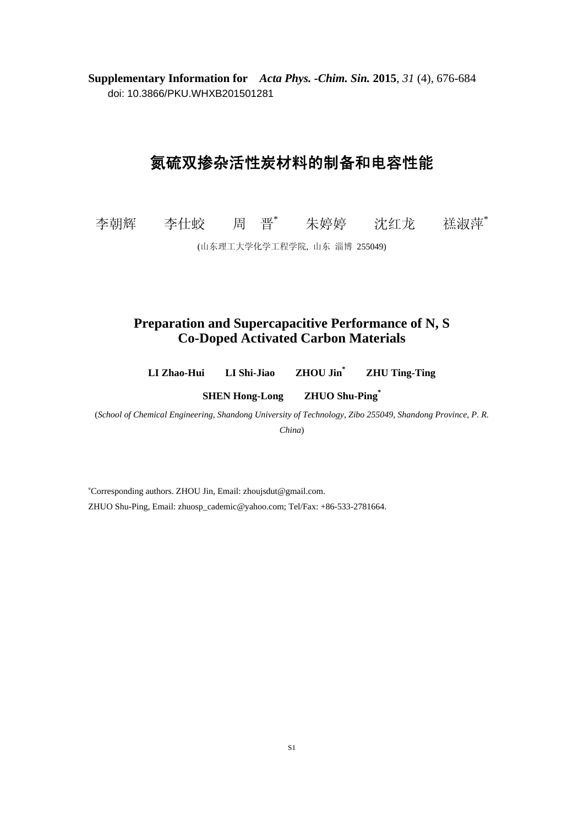**Supplementary Information for** *Acta Phys. -Chim. Sin.* **2015**, *31* (4), 676-684 doi: 10.3866/PKU.WHXB201501281

## 氮硫双掺杂活性炭材料的制备和电容性能

李朝辉 李仕蛟 周 晋\* 朱婷婷 沈红龙 禚淑萍\*

(山东理工大学化学工程学院, 山东 淄博 255049)

## **Preparation and Supercapacitive Performance of N, S Co-Doped Activated Carbon Materials**

**LI Zhao-Hui LI Shi-Jiao ZHOU Jin\* ZHU Ting-Ting** 

**SHEN Hong-Long ZHUO Shu-Ping\***

(*School of Chemical Engineering, Shandong University of Technology, Zibo 255049, Shandong Province, P. R. China*)

∗ Corresponding authors. ZHOU Jin, Email: zhoujsdut@gmail.com. ZHUO Shu-Ping, Email: zhuosp\_cademic@yahoo.com; Tel/Fax: +86-533-2781664.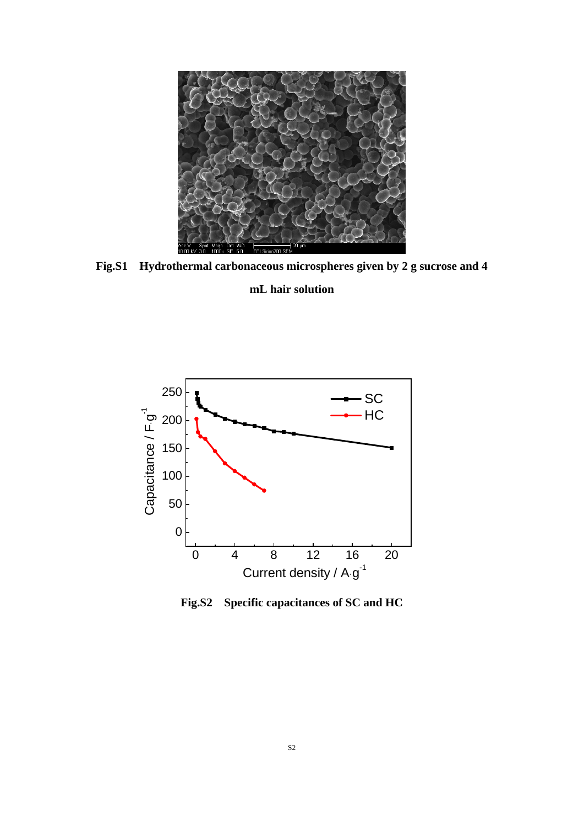

**Fig.S1 Hydrothermal carbonaceous microspheres given by 2 g sucrose and 4 mL hair solution** 



**Fig.S2 Specific capacitances of SC and HC**